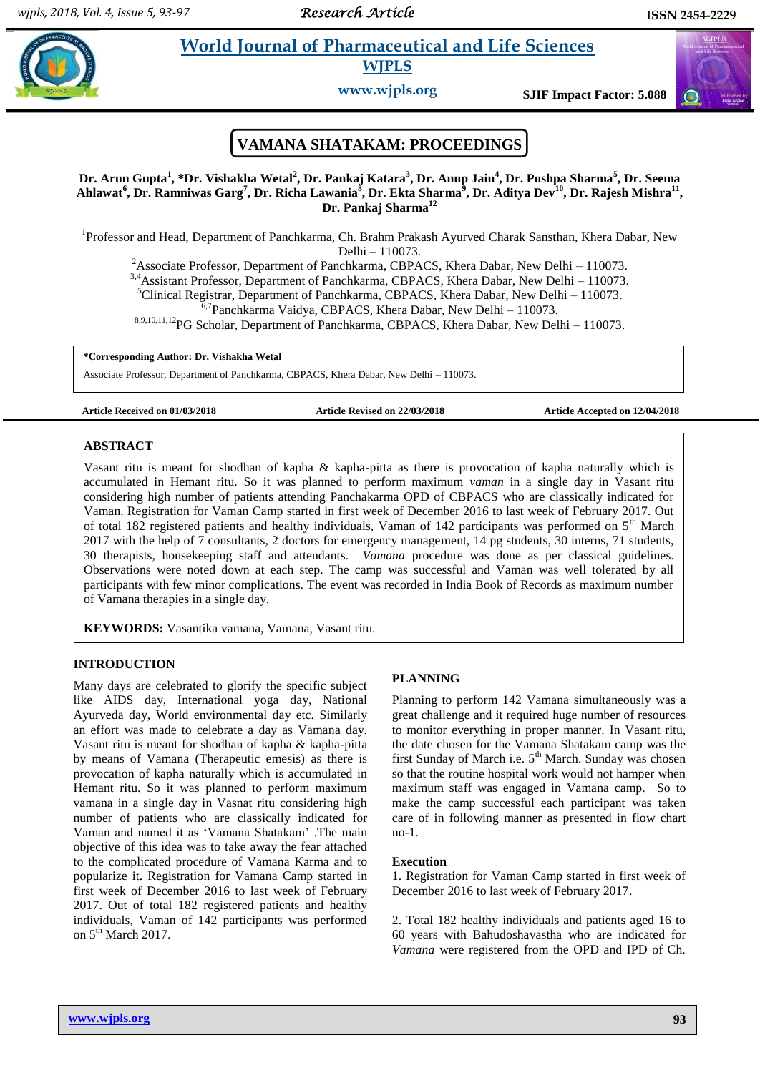# **Para** *et al.* **<b>Pharmaceutical and Life Sciences**

**WJPLS**

**www.wjpls.org SJIF Impact Factor: 5.088**

## **VAMANA SHATAKAM: PROCEEDINGS**

**Dr. Arun Gupta<sup>1</sup> , \*Dr. Vishakha Wetal<sup>2</sup> , Dr. Pankaj Katara<sup>3</sup> , Dr. Anup Jain<sup>4</sup> , Dr. Pushpa Sharma<sup>5</sup> , Dr. Seema**  Ahlawat<sup>6</sup>, Dr. Ramniwas Garg<sup>7</sup>, Dr. Richa Lawania<sup>8</sup>, Dr. Ekta Sharma<sup>9</sup>, Dr. Aditya Dev<sup>10</sup>, Dr. Rajesh Mishra<sup>11</sup>, **Dr. Pankaj Sharma<sup>12</sup>**

<sup>1</sup>Professor and Head, Department of Panchkarma, Ch. Brahm Prakash Ayurved Charak Sansthan, Khera Dabar, New Delhi – 110073.

<sup>2</sup>Associate Professor, Department of Panchkarma, CBPACS, Khera Dabar, New Delhi – 110073.

3,4Assistant Professor, Department of Panchkarma, CBPACS, Khera Dabar, New Delhi – 110073.

 ${}^{5}$ Clinical Registrar, Department of Panchkarma, CBPACS, Khera Dabar, New Delhi – 110073.

<sup>6,7</sup>Panchkarma Vaidya, CBPACS, Khera Dabar, New Delhi – 110073.

8,9,10,11,12PG Scholar, Department of Panchkarma, CBPACS, Khera Dabar, New Delhi – 110073.

**\*Corresponding Author: Dr. Vishakha Wetal**

Associate Professor, Department of Panchkarma, CBPACS, Khera Dabar, New Delhi – 110073.

#### **Article Received on 01/03/2018 Article Revised on 22/03/2018 Article Accepted on 12/04/2018**

#### [1] **ABSTRACT**

Vasant ritu is meant for shodhan of kapha & kapha-pitta as there is provocation of kapha naturally which is accumulated in Hemant ritu. So it was planned to perform maximum *vaman* in a single day in Vasant ritu considering high number of patients attending Panchakarma OPD of CBPACS who are classically indicated for Vaman. Registration for Vaman Camp started in first week of December 2016 to last week of February 2017. Out of total 182 registered patients and healthy individuals, Vaman of 142 participants was performed on  $5<sup>th</sup>$  March 2017 with the help of 7 consultants, 2 doctors for emergency management, 14 pg students, 30 interns, 71 students, 30 therapists, housekeeping staff and attendants. *Vamana* procedure was done as per classical guidelines. Observations were noted down at each step. The camp was successful and Vaman was well tolerated by all participants with few minor complications. The event was recorded in India Book of Records as maximum number of Vamana therapies in a single day.

**KEYWORDS:** Vasantika vamana, Vamana, Vasant ritu.

## **INTRODUCTION**

Many days are celebrated to glorify the specific subject like AIDS day, International yoga day, National Ayurveda day, World environmental day etc. Similarly an effort was made to celebrate a day as Vamana day. Vasant ritu is meant for shodhan of kapha & kapha-pitta by means of Vamana (Therapeutic emesis) as there is provocation of kapha naturally which is accumulated in Hemant ritu. So it was planned to perform maximum vamana in a single day in Vasnat ritu considering high number of patients who are classically indicated for Vaman and named it as 'Vamana Shatakam' .The main objective of this idea was to take away the fear attached to the complicated procedure of Vamana Karma and to popularize it. Registration for Vamana Camp started in first week of December 2016 to last week of February 2017. Out of total 182 registered patients and healthy individuals, Vaman of 142 participants was performed on  $5<sup>th</sup>$  March 2017.

#### **PLANNING**

Planning to perform 142 Vamana simultaneously was a great challenge and it required huge number of resources to monitor everything in proper manner. In Vasant ritu, the date chosen for the Vamana Shatakam camp was the first Sunday of March i.e. 5<sup>th</sup> March. Sunday was chosen so that the routine hospital work would not hamper when maximum staff was engaged in Vamana camp. So to make the camp successful each participant was taken care of in following manner as presented in flow chart no-1.

#### **Execution**

1. Registration for Vaman Camp started in first week of December 2016 to last week of February 2017.

2. Total 182 healthy individuals and patients aged 16 to 60 years with Bahudoshavastha who are indicated for *Vamana* were registered from the OPD and IPD of Ch.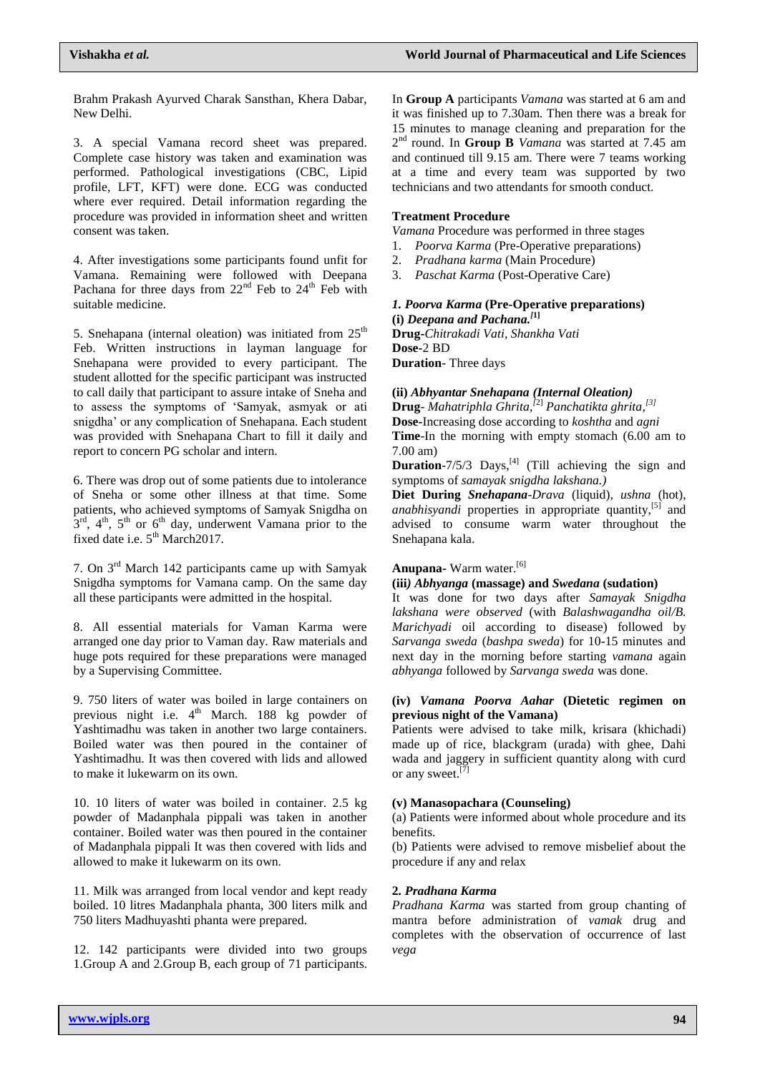Brahm Prakash Ayurved Charak Sansthan, Khera Dabar, New Delhi.

3. A special Vamana record sheet was prepared. Complete case history was taken and examination was performed. Pathological investigations (CBC, Lipid profile, LFT, KFT) were done. ECG was conducted where ever required. Detail information regarding the procedure was provided in information sheet and written consent was taken.

4. After investigations some participants found unfit for Vamana. Remaining were followed with Deepana Pachana for three days from  $22<sup>nd</sup>$  Feb to  $24<sup>th</sup>$  Feb with suitable medicine.

5. Snehapana (internal oleation) was initiated from  $25<sup>th</sup>$ Feb. Written instructions in layman language for Snehapana were provided to every participant. The student allotted for the specific participant was instructed to call daily that participant to assure intake of Sneha and to assess the symptoms of 'Samyak, asmyak or ati snigdha' or any complication of Snehapana. Each student was provided with Snehapana Chart to fill it daily and report to concern PG scholar and intern.

6. There was drop out of some patients due to intolerance of Sneha or some other illness at that time. Some patients, who achieved symptoms of Samyak Snigdha on  $3<sup>rd</sup>$ ,  $4<sup>th</sup>$ ,  $5<sup>th</sup>$  or  $6<sup>th</sup>$  day, underwent Vamana prior to the fixed date i.e.  $5<sup>th</sup> March2017$ .

7. On 3rd March 142 participants came up with Samyak Snigdha symptoms for Vamana camp. On the same day all these participants were admitted in the hospital.

8. All essential materials for Vaman Karma were arranged one day prior to Vaman day. Raw materials and huge pots required for these preparations were managed by a Supervising Committee.

9. 750 liters of water was boiled in large containers on previous night i.e. 4<sup>th</sup> March. 188 kg powder of Yashtimadhu was taken in another two large containers. Boiled water was then poured in the container of Yashtimadhu. It was then covered with lids and allowed to make it lukewarm on its own.

10. 10 liters of water was boiled in container. 2.5 kg powder of Madanphala pippali was taken in another container. Boiled water was then poured in the container of Madanphala pippali It was then covered with lids and allowed to make it lukewarm on its own.

11. Milk was arranged from local vendor and kept ready boiled. 10 litres Madanphala phanta, 300 liters milk and 750 liters Madhuyashti phanta were prepared.

12. 142 participants were divided into two groups 1.Group A and 2.Group B, each group of 71 participants. In **Group A** participants *Vamana* was started at 6 am and it was finished up to 7.30am. Then there was a break for 15 minutes to manage cleaning and preparation for the 2<sup>nd</sup> round. In Group B *Vamana* was started at 7.45 am and continued till 9.15 am. There were 7 teams working at a time and every team was supported by two technicians and two attendants for smooth conduct.

## **Treatment Procedure**

*Vamana* Procedure was performed in three stages

1. *Poorva Karma* (Pre-Operative preparations)

- 2. *Pradhana karma* (Main Procedure)
- 3. *Paschat Karma* (Post-Operative Care)

## *1. Poorva Karma* **(Pre-Operative preparations) (i)** *Deepana and Pachana. [***1]**

**Drug-***Chitrakadi Vati, Shankha Vati* **Dose-**2 BD **Duration**- Three days

**(ii)** *Abhyantar Snehapana (Internal Oleation)*

**Drug**- *Mahatriphla Ghrita, [*2] *Panchatikta ghrita, [3]* **Dose-**Increasing dose according to *koshtha* and *agni* **Time**-In the morning with empty stomach (6.00 am to 7.00 am)

**Duration**- $7/5/3$  Days,<sup>[4]</sup> (Till achieving the sign and symptoms of *samayak snigdha lakshana.)*

**Diet During** *Snehapana*-*Drava* (liquid), *ushna* (hot), anabhisyandi properties in appropriate quantity,<sup>[5]</sup> and advised to consume warm water throughout the Snehapana kala.

## **Anupana-** Warm water. [6]

**(iii***) Abhyanga* **(massage) and** *Swedana* **(sudation)**

It was done for two days after *Samayak Snigdha lakshana were observed* (with *Balashwagandha oil/B. Marichyadi* oil according to disease) followed by *Sarvanga sweda* (*bashpa sweda*) for 10-15 minutes and next day in the morning before starting *vamana* again *abhyanga* followed by *Sarvanga sweda* was done.

## **(iv)** *Vamana Poorva Aahar* **(Dietetic regimen on previous night of the Vamana)**

Patients were advised to take milk, krisara (khichadi) made up of rice, blackgram (urada) with ghee, Dahi wada and jaggery in sufficient quantity along with curd or any sweet.<sup>[7]</sup>

## **(v) Manasopachara (Counseling)**

(a) Patients were informed about whole procedure and its benefits.

(b) Patients were advised to remove misbelief about the procedure if any and relax

## **2***. Pradhana Karma*

*Pradhana Karma* was started from group chanting of mantra before administration of *vamak* drug and completes with the observation of occurrence of last *vega*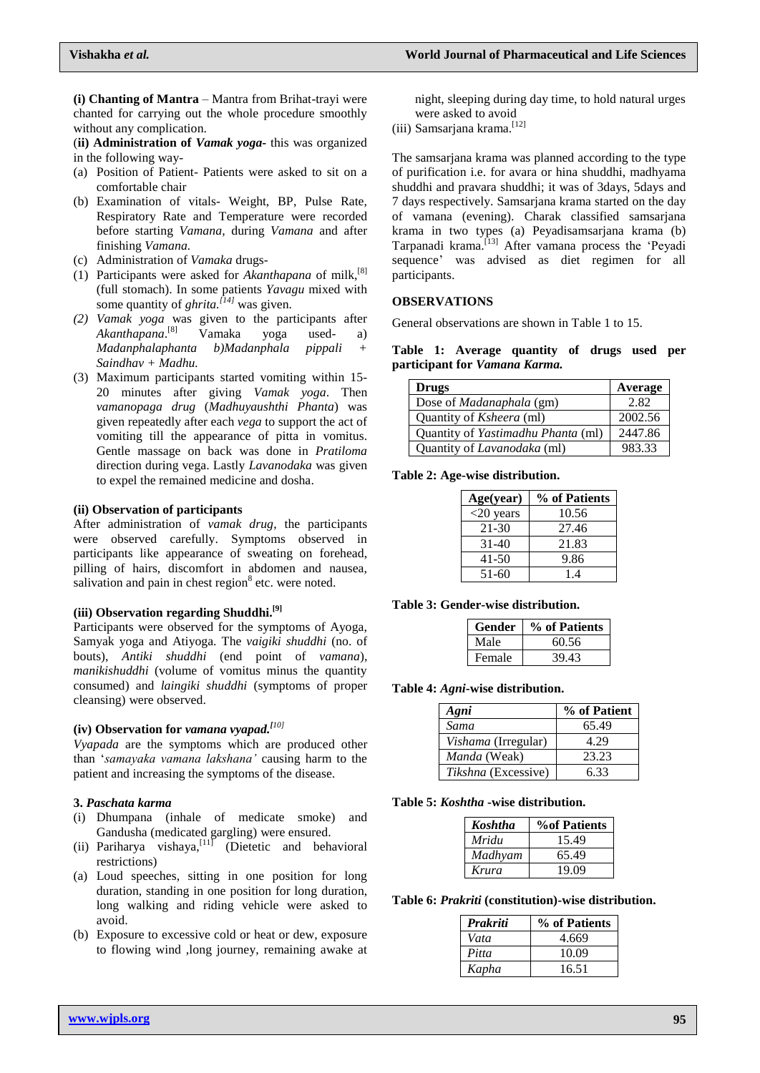**(i) Chanting of Mantra** – Mantra from Brihat-trayi were chanted for carrying out the whole procedure smoothly without any complication.

(**ii) Administration of** *Vamak yoga***-** this was organized in the following way-

- (a) Position of Patient- Patients were asked to sit on a comfortable chair
- (b) Examination of vitals- Weight, BP, Pulse Rate, Respiratory Rate and Temperature were recorded before starting *Vamana,* during *Vamana* and after finishing *Vamana.*
- (c) Administration of *Vamaka* drugs-
- (1) Participants were asked for *Akanthapana* of milk, [8] (full stomach). In some patients *Yavagu* mixed with some quantity of *ghrita. [14]* was given.
- *(2) Vamak yoga* was given to the participants after *Akanthapana*. Vamaka yoga used- a) *Madanphalaphanta b)Madanphala pippali + Saindhav + Madhu.*
- (3) Maximum participants started vomiting within 15- 20 minutes after giving *Vamak yoga*. Then *vamanopaga drug* (*Madhuyaushthi Phanta*) was given repeatedly after each *vega* to support the act of vomiting till the appearance of pitta in vomitus. Gentle massage on back was done in *Pratiloma* direction during vega. Lastly *Lavanodaka* was given to expel the remained medicine and dosha.

#### **(ii) Observation of participants**

After administration of *vamak drug*, the participants were observed carefully. Symptoms observed in participants like appearance of sweating on forehead, pilling of hairs, discomfort in abdomen and nausea, salivation and pain in chest region $8$  etc. were noted.

## **(iii) Observation regarding Shuddhi. [9]**

Participants were observed for the symptoms of Ayoga, Samyak yoga and Atiyoga. The *vaigiki shuddhi* (no. of bouts), *Antiki shuddhi* (end point of *vamana*), *manikishuddhi* (volume of vomitus minus the quantity consumed) and *laingiki shuddhi* (symptoms of proper cleansing) were observed.

## **(iv) Observation for** *vamana vyapad. [10]*

*Vyapada* are the symptoms which are produced other than '*samayaka vamana lakshana'* causing harm to the patient and increasing the symptoms of the disease.

#### **3.** *Paschata karma*

- (i) Dhumpana (inhale of medicate smoke) and Gandusha (medicated gargling) were ensured.
- (ii) Pariharya vishaya,  $\begin{bmatrix} 11 \end{bmatrix}$  (Dietetic and behavioral restrictions)
- (a) Loud speeches, sitting in one position for long duration, standing in one position for long duration, long walking and riding vehicle were asked to avoid.
- (b) Exposure to excessive cold or heat or dew, exposure to flowing wind ,long journey, remaining awake at

night, sleeping during day time, to hold natural urges were asked to avoid

(iii) Samsarjana krama. [12]

The samsarjana krama was planned according to the type of purification i.e. for avara or hina shuddhi, madhyama shuddhi and pravara shuddhi; it was of 3days, 5days and 7 days respectively. Samsarjana krama started on the day of vamana (evening). Charak classified samsarjana krama in two types (a) Peyadisamsarjana krama (b) Tarpanadi krama. [13] After vamana process the 'Peyadi sequence' was advised as diet regimen for all participants.

#### **OBSERVATIONS**

General observations are shown in Table 1 to 15.

**Table 1: Average quantity of drugs used per participant for** *Vamana Karma.*

| <b>Drugs</b>                       | Average |
|------------------------------------|---------|
| Dose of Madanaphala (gm)           | 2.82    |
| Quantity of Ksheera (ml)           | 2002.56 |
| Quantity of Yastimadhu Phanta (ml) | 2447.86 |
| Quantity of Lavanodaka (ml)        | 983.33  |

**Table 2: Age-wise distribution.**

| Age(year)    | % of Patients |
|--------------|---------------|
| $<$ 20 years | 10.56         |
| 21-30        | 27.46         |
| 31-40        | 21.83         |
| $41 - 50$    | 9.86          |
| 51-60        | 14            |

**Table 3: Gender-wise distribution.**

| Gender | % of Patients |
|--------|---------------|
| Male   | 60.56         |
| Female | 39.43         |

#### **Table 4:** *Agni***-wise distribution.**

| Agni                       | % of Patient |
|----------------------------|--------------|
| Sama                       | 65.49        |
| <i>Vishama</i> (Irregular) | 4.29         |
| <i>Manda</i> (Weak)        | 23.23        |
| Tikshna (Excessive)        | 6.33         |

## **Table 5:** *Koshtha* **-wise distribution.**

| Koshtha | <b>%of Patients</b> |
|---------|---------------------|
| Mridu   | 15.49               |
| Madhyam | 65.49               |
| Krura   | 19.09               |

**Table 6:** *Prakriti* **(constitution)-wise distribution.**

| Prakriti | % of Patients |
|----------|---------------|
| Vata     | 4.669         |
| Pitta    | 10.09         |
| Kapha    | 16.51         |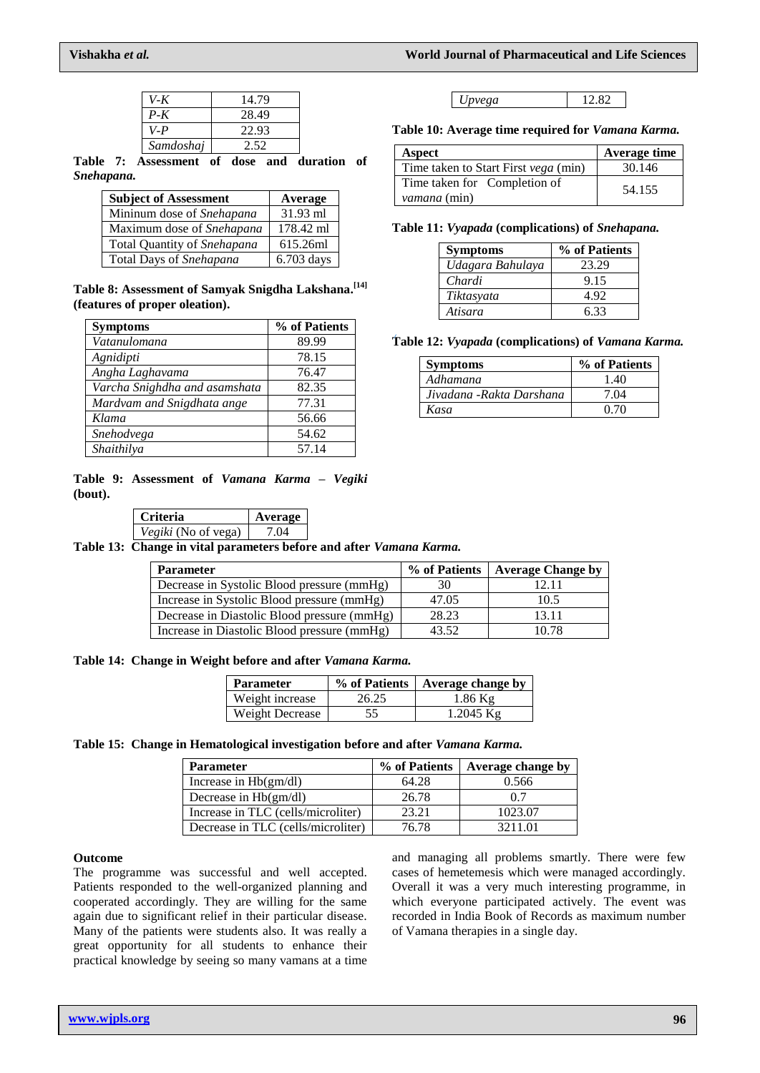*Upvega* 12.82

**Table 10: Average time required for** *Vamana Karma.* **Aspect Average time** Time taken to Start First *vega* (min) 30.146

*vamana* (min) 54.155

**Table 11:** *Vyapada* **(complications) of** *Snehapana.*

*Chardi* 9.15 *Tiktasyata* 4.92 *Atisara* 6.33

**Symptoms % of Patients**<br> *Udagara Bahulaya* 23.29

**Table 12:** *Vyapada* **(complications) of** *Vamana Karma.* **Symptoms % of Patients** *Adhamana* 1.40 *Jivadana -Rakta Darshana* 7.04 *Kasa* 0.70

Time taken for Completion of

*Udagara Bahulaya* 

| V-K       | 14.79 |
|-----------|-------|
| $P-K$     | 28.49 |
| $V-P$     | 22.93 |
| Samdoshaj | 2.52  |

**Table 7: Assessment of dose and duration of**  *Snehapana.*

| <b>Subject of Assessment</b> | Average    |
|------------------------------|------------|
| Mininum dose of Snehapana    | 31.93 ml   |
| Maximum dose of Snehapana    | 178.42 ml  |
| Total Quantity of Snehapana  | 615.26ml   |
| Total Days of Snehapana      | 6.703 days |

**Table 8: Assessment of Samyak Snigdha Lakshana. [14] (features of proper oleation).**

| <b>Symptoms</b>               | % of Patients |
|-------------------------------|---------------|
| Vatanulomana                  | 89.99         |
| Agnidipti                     | 78.15         |
| Angha Laghavama               | 76.47         |
| Varcha Snighdha and asamshata | 82.35         |
| Mardvam and Snigdhata ange    | 77.31         |
| Klama                         | 56.66         |
| Snehodvega                    | 54.62         |
| Shaithilya                    | 57.14         |

**Table 9: Assessment of** *Vamana Karma* **–** *Vegiki* **(bout).**

| <b>Criteria</b>            | Average |
|----------------------------|---------|
| <i>Vegiki</i> (No of vega) | 7 04    |

**Table 13: Change in vital parameters before and after** *Vamana Karma.*

| <b>Parameter</b>                            | % of Patients | <b>Average Change by</b> |
|---------------------------------------------|---------------|--------------------------|
| Decrease in Systolic Blood pressure (mmHg)  | 30            | 12.11                    |
| Increase in Systolic Blood pressure (mmHg)  | 47.05         | 10.5                     |
| Decrease in Diastolic Blood pressure (mmHg) | 28.23         | 13.11                    |
| Increase in Diastolic Blood pressure (mmHg) | 43.52         | 10.78                    |

**Table 14: Change in Weight before and after** *Vamana Karma.*

| <b>Parameter</b> | % of Patients | Average change by |
|------------------|---------------|-------------------|
| Weight increase  | 26.25         | $1.86$ Kg         |
| Weight Decrease  | 55            | $1.2045$ Kg       |

## **Table 15: Change in Hematological investigation before and after** *Vamana Karma.*

| <b>Parameter</b>                   | % of Patients | Average change by |
|------------------------------------|---------------|-------------------|
| Increase in $Hb(gm/dl)$            | 64.28         | 0.566             |
| Decrease in $Hb(gm/dl)$            | 26.78         | 0.7               |
| Increase in TLC (cells/microliter) | 23.21         | 1023.07           |
| Decrease in TLC (cells/microliter) | 76.78         | 3211.01           |

#### **Outcome**

The programme was successful and well accepted. Patients responded to the well-organized planning and cooperated accordingly. They are willing for the same again due to significant relief in their particular disease. Many of the patients were students also. It was really a great opportunity for all students to enhance their practical knowledge by seeing so many vamans at a time

and managing all problems smartly. There were few cases of hemetemesis which were managed accordingly. Overall it was a very much interesting programme, in which everyone participated actively. The event was recorded in India Book of Records as maximum number of Vamana therapies in a single day.